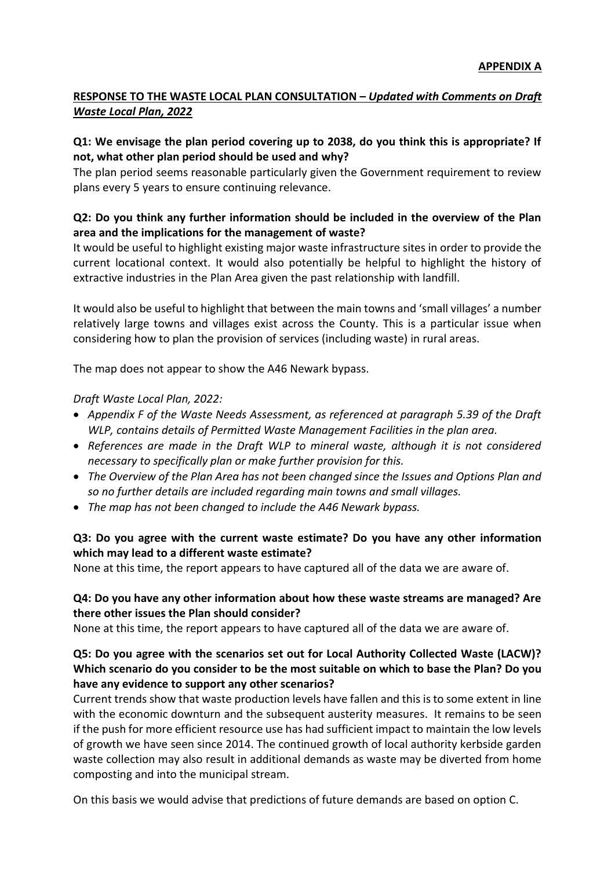# **RESPONSE TO THE WASTE LOCAL PLAN CONSULTATION –** *Updated with Comments on Draft Waste Local Plan, 2022*

### **Q1: We envisage the plan period covering up to 2038, do you think this is appropriate? If not, what other plan period should be used and why?**

The plan period seems reasonable particularly given the Government requirement to review plans every 5 years to ensure continuing relevance.

## **Q2: Do you think any further information should be included in the overview of the Plan area and the implications for the management of waste?**

It would be useful to highlight existing major waste infrastructure sites in order to provide the current locational context. It would also potentially be helpful to highlight the history of extractive industries in the Plan Area given the past relationship with landfill.

It would also be useful to highlight that between the main towns and 'small villages' a number relatively large towns and villages exist across the County. This is a particular issue when considering how to plan the provision of services (including waste) in rural areas.

The map does not appear to show the A46 Newark bypass.

*Draft Waste Local Plan, 2022:*

- *Appendix F of the Waste Needs Assessment, as referenced at paragraph 5.39 of the Draft WLP, contains details of Permitted Waste Management Facilities in the plan area.*
- *References are made in the Draft WLP to mineral waste, although it is not considered necessary to specifically plan or make further provision for this.*
- *The Overview of the Plan Area has not been changed since the Issues and Options Plan and so no further details are included regarding main towns and small villages.*
- *The map has not been changed to include the A46 Newark bypass.*

## **Q3: Do you agree with the current waste estimate? Do you have any other information which may lead to a different waste estimate?**

None at this time, the report appears to have captured all of the data we are aware of.

### **Q4: Do you have any other information about how these waste streams are managed? Are there other issues the Plan should consider?**

None at this time, the report appears to have captured all of the data we are aware of.

### **Q5: Do you agree with the scenarios set out for Local Authority Collected Waste (LACW)? Which scenario do you consider to be the most suitable on which to base the Plan? Do you have any evidence to support any other scenarios?**

Current trends show that waste production levels have fallen and this is to some extent in line with the economic downturn and the subsequent austerity measures. It remains to be seen if the push for more efficient resource use has had sufficient impact to maintain the low levels of growth we have seen since 2014. The continued growth of local authority kerbside garden waste collection may also result in additional demands as waste may be diverted from home composting and into the municipal stream.

On this basis we would advise that predictions of future demands are based on option C.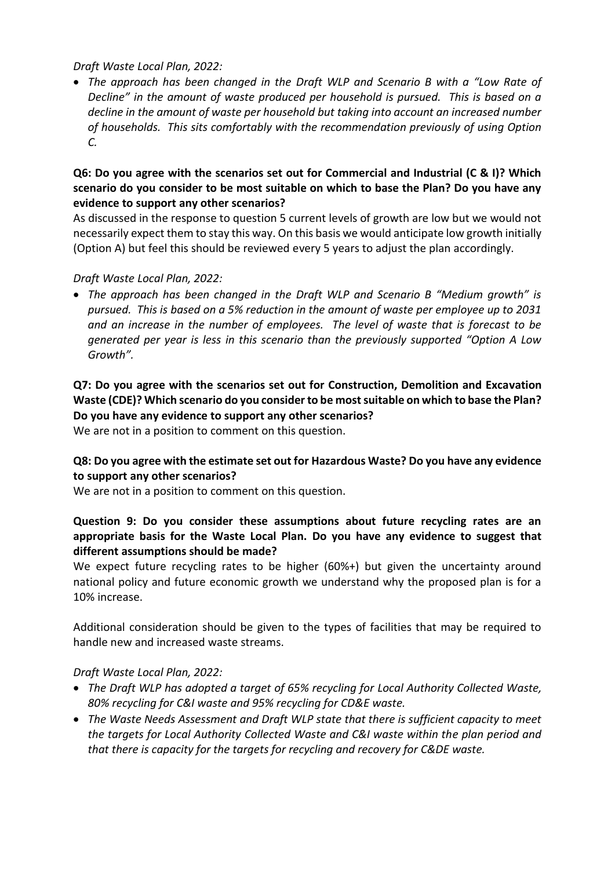*Draft Waste Local Plan, 2022:*

 *The approach has been changed in the Draft WLP and Scenario B with a "Low Rate of Decline" in the amount of waste produced per household is pursued. This is based on a decline in the amount of waste per household but taking into account an increased number of households. This sits comfortably with the recommendation previously of using Option C.*

### **Q6: Do you agree with the scenarios set out for Commercial and Industrial (C & I)? Which scenario do you consider to be most suitable on which to base the Plan? Do you have any evidence to support any other scenarios?**

As discussed in the response to question 5 current levels of growth are low but we would not necessarily expect them to stay this way. On this basis we would anticipate low growth initially (Option A) but feel this should be reviewed every 5 years to adjust the plan accordingly.

## *Draft Waste Local Plan, 2022:*

 *The approach has been changed in the Draft WLP and Scenario B "Medium growth" is pursued. This is based on a 5% reduction in the amount of waste per employee up to 2031 and an increase in the number of employees. The level of waste that is forecast to be generated per year is less in this scenario than the previously supported "Option A Low Growth".*

**Q7: Do you agree with the scenarios set out for Construction, Demolition and Excavation Waste (CDE)? Which scenario do you consider to be most suitable on which to base the Plan? Do you have any evidence to support any other scenarios?**

We are not in a position to comment on this question.

### **Q8: Do you agree with the estimate set out for Hazardous Waste? Do you have any evidence to support any other scenarios?**

We are not in a position to comment on this question.

### **Question 9: Do you consider these assumptions about future recycling rates are an appropriate basis for the Waste Local Plan. Do you have any evidence to suggest that different assumptions should be made?**

We expect future recycling rates to be higher (60%+) but given the uncertainty around national policy and future economic growth we understand why the proposed plan is for a 10% increase.

Additional consideration should be given to the types of facilities that may be required to handle new and increased waste streams.

### *Draft Waste Local Plan, 2022:*

- *The Draft WLP has adopted a target of 65% recycling for Local Authority Collected Waste, 80% recycling for C&I waste and 95% recycling for CD&E waste.*
- *The Waste Needs Assessment and Draft WLP state that there is sufficient capacity to meet the targets for Local Authority Collected Waste and C&I waste within the plan period and that there is capacity for the targets for recycling and recovery for C&DE waste.*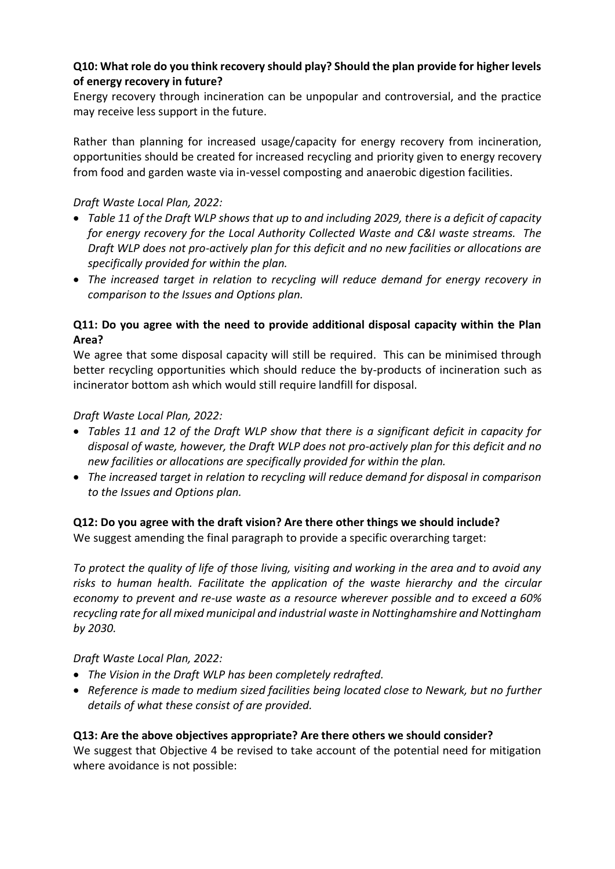### **Q10: What role do you think recovery should play? Should the plan provide for higher levels of energy recovery in future?**

Energy recovery through incineration can be unpopular and controversial, and the practice may receive less support in the future.

Rather than planning for increased usage/capacity for energy recovery from incineration, opportunities should be created for increased recycling and priority given to energy recovery from food and garden waste via in-vessel composting and anaerobic digestion facilities.

## *Draft Waste Local Plan, 2022:*

- *Table 11 of the Draft WLP shows that up to and including 2029, there is a deficit of capacity for energy recovery for the Local Authority Collected Waste and C&I waste streams. The Draft WLP does not pro-actively plan for this deficit and no new facilities or allocations are specifically provided for within the plan.*
- *The increased target in relation to recycling will reduce demand for energy recovery in comparison to the Issues and Options plan.*

## **Q11: Do you agree with the need to provide additional disposal capacity within the Plan Area?**

We agree that some disposal capacity will still be required. This can be minimised through better recycling opportunities which should reduce the by-products of incineration such as incinerator bottom ash which would still require landfill for disposal.

### *Draft Waste Local Plan, 2022:*

- *Tables 11 and 12 of the Draft WLP show that there is a significant deficit in capacity for disposal of waste, however, the Draft WLP does not pro-actively plan for this deficit and no new facilities or allocations are specifically provided for within the plan.*
- *The increased target in relation to recycling will reduce demand for disposal in comparison to the Issues and Options plan.*

## **Q12: Do you agree with the draft vision? Are there other things we should include?** We suggest amending the final paragraph to provide a specific overarching target:

*To protect the quality of life of those living, visiting and working in the area and to avoid any risks to human health. Facilitate the application of the waste hierarchy and the circular economy to prevent and re-use waste as a resource wherever possible and to exceed a 60% recycling rate for all mixed municipal and industrial waste in Nottinghamshire and Nottingham by 2030.*

*Draft Waste Local Plan, 2022:*

- *The Vision in the Draft WLP has been completely redrafted.*
- *Reference is made to medium sized facilities being located close to Newark, but no further details of what these consist of are provided.*

### **Q13: Are the above objectives appropriate? Are there others we should consider?**

We suggest that Objective 4 be revised to take account of the potential need for mitigation where avoidance is not possible: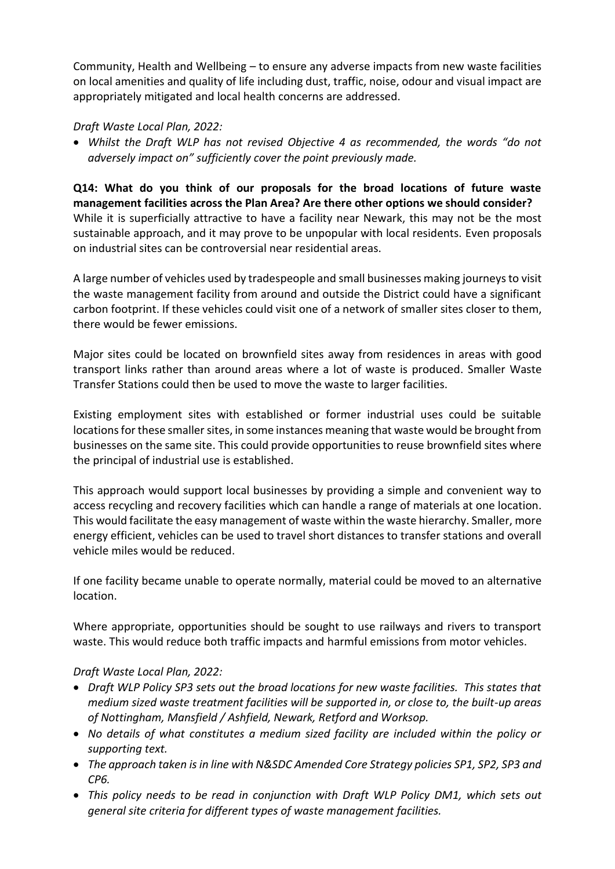Community, Health and Wellbeing – to ensure any adverse impacts from new waste facilities on local amenities and quality of life including dust, traffic, noise, odour and visual impact are appropriately mitigated and local health concerns are addressed.

### *Draft Waste Local Plan, 2022:*

 *Whilst the Draft WLP has not revised Objective 4 as recommended, the words "do not adversely impact on" sufficiently cover the point previously made.*

**Q14: What do you think of our proposals for the broad locations of future waste management facilities across the Plan Area? Are there other options we should consider?** While it is superficially attractive to have a facility near Newark, this may not be the most sustainable approach, and it may prove to be unpopular with local residents. Even proposals on industrial sites can be controversial near residential areas.

A large number of vehicles used by tradespeople and small businesses making journeys to visit the waste management facility from around and outside the District could have a significant carbon footprint. If these vehicles could visit one of a network of smaller sites closer to them, there would be fewer emissions.

Major sites could be located on brownfield sites away from residences in areas with good transport links rather than around areas where a lot of waste is produced. Smaller Waste Transfer Stations could then be used to move the waste to larger facilities.

Existing employment sites with established or former industrial uses could be suitable locations for these smaller sites, in some instances meaning that waste would be brought from businesses on the same site. This could provide opportunities to reuse brownfield sites where the principal of industrial use is established.

This approach would support local businesses by providing a simple and convenient way to access recycling and recovery facilities which can handle a range of materials at one location. This would facilitate the easy management of waste within the waste hierarchy. Smaller, more energy efficient, vehicles can be used to travel short distances to transfer stations and overall vehicle miles would be reduced.

If one facility became unable to operate normally, material could be moved to an alternative location.

Where appropriate, opportunities should be sought to use railways and rivers to transport waste. This would reduce both traffic impacts and harmful emissions from motor vehicles.

# *Draft Waste Local Plan, 2022:*

- *Draft WLP Policy SP3 sets out the broad locations for new waste facilities. This states that medium sized waste treatment facilities will be supported in, or close to, the built-up areas of Nottingham, Mansfield / Ashfield, Newark, Retford and Worksop.*
- *No details of what constitutes a medium sized facility are included within the policy or supporting text.*
- *The approach taken is in line with N&SDC Amended Core Strategy policies SP1, SP2, SP3 and CP6.*
- *This policy needs to be read in conjunction with Draft WLP Policy DM1, which sets out general site criteria for different types of waste management facilities.*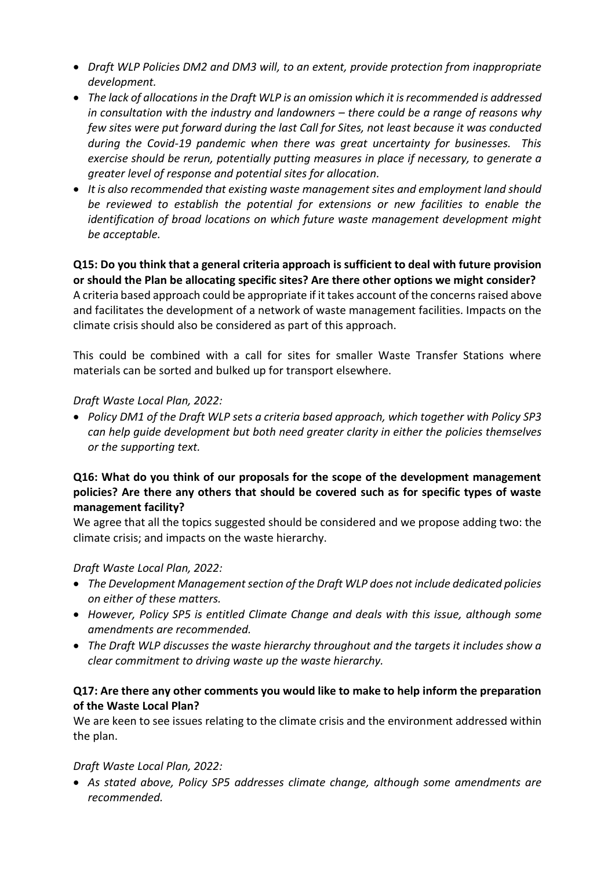- *Draft WLP Policies DM2 and DM3 will, to an extent, provide protection from inappropriate development.*
- *The lack of allocations in the Draft WLP is an omission which it is recommended is addressed in consultation with the industry and landowners – there could be a range of reasons why few sites were put forward during the last Call for Sites, not least because it was conducted during the Covid-19 pandemic when there was great uncertainty for businesses. This exercise should be rerun, potentially putting measures in place if necessary, to generate a greater level of response and potential sites for allocation.*
- *It is also recommended that existing waste management sites and employment land should be reviewed to establish the potential for extensions or new facilities to enable the identification of broad locations on which future waste management development might be acceptable.*

# **Q15: Do you think that a general criteria approach is sufficient to deal with future provision or should the Plan be allocating specific sites? Are there other options we might consider?**

A criteria based approach could be appropriate if it takes account of the concerns raised above and facilitates the development of a network of waste management facilities. Impacts on the climate crisis should also be considered as part of this approach.

This could be combined with a call for sites for smaller Waste Transfer Stations where materials can be sorted and bulked up for transport elsewhere.

### *Draft Waste Local Plan, 2022:*

 *Policy DM1 of the Draft WLP sets a criteria based approach, which together with Policy SP3 can help guide development but both need greater clarity in either the policies themselves or the supporting text.*

### **Q16: What do you think of our proposals for the scope of the development management policies? Are there any others that should be covered such as for specific types of waste management facility?**

We agree that all the topics suggested should be considered and we propose adding two: the climate crisis; and impacts on the waste hierarchy.

### *Draft Waste Local Plan, 2022:*

- *The Development Management section of the Draft WLP does not include dedicated policies on either of these matters.*
- *However, Policy SP5 is entitled Climate Change and deals with this issue, although some amendments are recommended.*
- *The Draft WLP discusses the waste hierarchy throughout and the targets it includes show a clear commitment to driving waste up the waste hierarchy.*

### **Q17: Are there any other comments you would like to make to help inform the preparation of the Waste Local Plan?**

We are keen to see issues relating to the climate crisis and the environment addressed within the plan.

### *Draft Waste Local Plan, 2022:*

 *As stated above, Policy SP5 addresses climate change, although some amendments are recommended.*